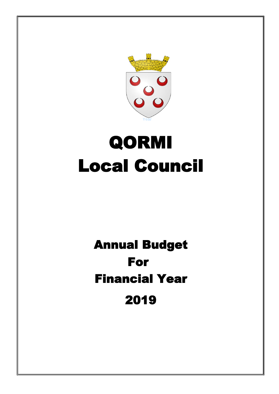

# QORMI Local Council

## For 2019 Financial Year Annual Budget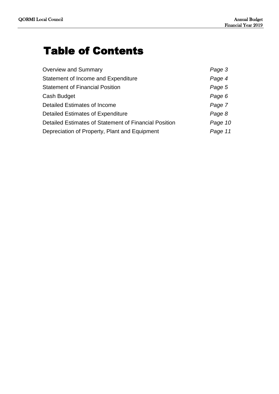### Table of Contents

| <b>Overview and Summary</b>                           | Page 3  |
|-------------------------------------------------------|---------|
| <b>Statement of Income and Expenditure</b>            | Page 4  |
| <b>Statement of Financial Position</b>                | Page 5  |
| Cash Budget                                           | Page 6  |
| Detailed Estimates of Income                          | Page 7  |
| <b>Detailed Estimates of Expenditure</b>              | Page 8  |
| Detailed Estimates of Statement of Financial Position | Page 10 |
| Depreciation of Property, Plant and Equipment         | Page 11 |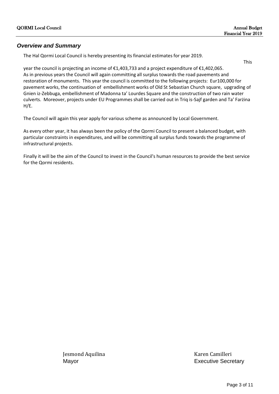#### *Overview and Summary*

The Hal Qormi Local Council is hereby presenting its financial estimates for year 2019.

This

year the council is projecting an income of €1,403,733 and a project expenditure of €1,402,065. As in previous years the Council will again committing all surplus towards the road pavements and restoration of monuments. This year the council is committed to the following projects: Eur100,000 for pavement works, the continuation of embellishment works of Old St Sebastian Church square, upgrading of Gnien iz-Zebbuga, embellishment of Madonna ta' Lourdes Square and the construction of two rain water culverts. Moreover, projects under EU Programmes shall be carried out in Triq is-Sajf garden and Ta' Farżina H/E.

The Council will again this year apply for various scheme as announced by Local Government.

As every other year, it has always been the policy of the Qormi Council to present a balanced budget, with particular constraints in expenditures, and will be committing all surplus funds towards the programme of infrastructural projects.

Finally it will be the aim of the Council to invest in the Council's human resources to provide the best service for the Qormi residents.

Jesmond Aquilina Karen Camilleri

Mayor **Executive Secretary**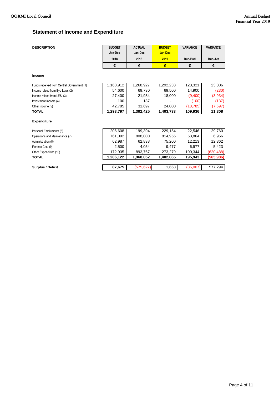#### **Statement of Income and Expenditure**

| <b>DESCRIPTION</b>                         | <b>BUDGET</b> | <b>ACTUAL</b> | <b>BUDGET</b>  | <b>VARIANCE</b> | <b>VARIANCE</b> |
|--------------------------------------------|---------------|---------------|----------------|-----------------|-----------------|
|                                            | Jan-Dec       | Jan-Dec       | <b>Jan-Dec</b> |                 |                 |
|                                            | 2018          | 2018          | 2019           | <b>Bud-Bud</b>  | <b>Bud-Act</b>  |
|                                            | €             | €             | €              | €               | €               |
| <b>Income</b>                              |               |               |                |                 |                 |
| Funds received from Central Government (1) | 1,168,912     | 1,268,927     | 1,292,233      | 123,321         | 23,306          |
| Income raised from Bye-Laws (2)            | 54,600        | 69,730        | 69,500         | 14,900          | (230)           |
| Income raised from LES (3)                 | 27,400        | 21,934        | 18,000         | (9,400)         | (3,934)         |
| Investment Income (4)                      | 100           | 137           |                | (100)           | (137)           |
| Other Income (5)                           | 42,785        | 31,697        | 24,000         | (18, 785)       | (7,697)         |
| <b>TOTAL</b>                               | 1,293,797     | 1,392,425     | 1,403,733      | 109,936         | 11,308          |
| <b>Expenditure</b>                         |               |               |                |                 |                 |
|                                            | 206,608       | 199,394       | 229,154        |                 |                 |
| Personal Emoluments (6)                    |               |               |                | 22,546          | 29,760          |
| Operations and Maintenance (7)             | 761,092       | 808,000       | 814,956        | 53,864          | 6,956           |
| Administration (8)                         | 62,987        | 62,838        | 75,200         | 12,213          | 12,362          |
| Finance Cost (9)                           | 2,500         | 4,054         | 9,477          | 6,977           | 5,423           |
| Other Expenditure (10)                     | 172,935       | 893,767       | 273,279        | 100,344         | (620, 488)      |
| <b>TOTAL</b>                               | 1,206,122     | 1,968,052     | 1,402,065      | 195,943         | (565, 986)      |
|                                            |               |               |                |                 |                 |
| Surplus / Deficit                          | 87,675        | (575, 627)    | 1,668          | (86,007)        | 577,294         |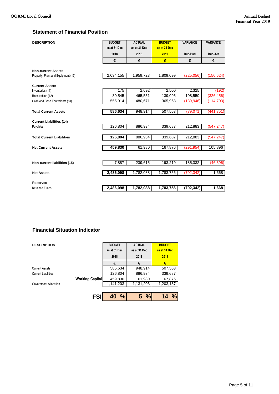#### **Statement of Financial Position**

| <b>DESCRIPTION</b>                 | <b>BUDGET</b><br>as at 31 Dec | <b>ACTUAL</b><br>as at 31 Dec | <b>BUDGET</b><br>as at 31 Dec | <b>VARIANCE</b> | <b>VARIANCE</b> |
|------------------------------------|-------------------------------|-------------------------------|-------------------------------|-----------------|-----------------|
|                                    |                               |                               |                               |                 |                 |
|                                    | 2018                          | 2018                          | 2019                          | <b>Bud-Bud</b>  | <b>Bud-Act</b>  |
|                                    | €                             | €                             | €                             | €               | €               |
| <b>Non-current Assets</b>          |                               |                               |                               |                 |                 |
| Property, Plant and Equipment (16) | 2,034,155                     | 1,959,723                     | 1,809,099                     | (225,056)       | (150, 624)      |
| <b>Current Assets</b>              |                               |                               |                               |                 |                 |
| Inventories (11)                   | 175                           | 2,692                         | 2,500                         | 2,325           | (192)           |
| Receivables (12)                   | 30,545                        | 465,551                       | 139,095                       | 108,550         | (326, 456)      |
| Cash and Cash Equivalents (13)     | 555.914                       | 480.671                       | 365,968                       | (189, 946)      | (114, 703)      |
|                                    |                               |                               |                               |                 |                 |
| <b>Total Current Assets</b>        | 586,634                       | 948,914                       | 507,563                       | (79, 071)       | (441, 351)      |
| <b>Current Liabilities (14)</b>    |                               |                               |                               |                 |                 |
| Payables                           | 126,804                       | 886,934                       | 339,687                       | 212,883         | (547, 247)      |
|                                    |                               |                               |                               |                 |                 |
| <b>Total Current Liabilities</b>   | 126,804                       | 886,934                       | 339,687                       | 212,883         | (547, 247)      |
| <b>Net Current Assets</b>          | 459,830                       | 61,980                        | 167,876                       | (291, 954)      | 105,896         |
|                                    |                               |                               |                               |                 |                 |
|                                    |                               |                               |                               |                 |                 |
| Non-current liabilities (15)       | 7,887                         | 239,615                       | 193,219                       | 185,332         | (46, 396)       |
| <b>Net Assets</b>                  | 2,486,098                     | 1,782,088                     | 1,783,756                     | (702, 342)      | 1,668           |
|                                    |                               |                               |                               |                 |                 |
| <b>Reserves</b>                    |                               |                               |                               |                 |                 |
| <b>Retained Funds</b>              | 2,486,098                     | 1,782,088                     | 1,783,756                     | (702, 342)      | 1,668           |

#### **Financial Situation Indicator**

| <b>DESCRIPTION</b>         |                        | <b>BUDGET</b> | <b>ACTUAL</b> | <b>BUDGET</b>       |
|----------------------------|------------------------|---------------|---------------|---------------------|
|                            |                        | as at 31 Dec  | as at 31 Dec  | as at 31 Dec        |
|                            |                        | 2018          | 2018          | 2019                |
|                            |                        | €             | €             | €                   |
| <b>Current Assets</b>      |                        | 586,634       | 948,914       | 507,563             |
| <b>Current Liabilities</b> |                        | 126,804       | 886,934       | 339,687             |
|                            | <b>Working Capital</b> | 459,830       | 61,980        | 167,876             |
| Government Allocation      |                        | 1,141,203     | 1,131,203     | 1,203,187           |
|                            |                        |               |               |                     |
|                            | <b>FSI</b>             | $\%$<br>40    | 5%            | $\frac{0}{0}$<br>14 |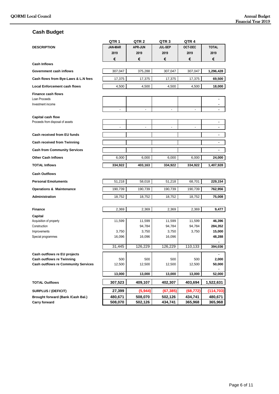#### **Cash Budget**

| <b>JAN-MAR</b><br><b>APR-JUN</b><br><b>JUL-SEP</b><br><b>OCT-DEC</b><br><b>TOTAL</b><br><b>DESCRIPTION</b><br>2019<br>2019<br>2019<br>2019<br>2019<br>€<br>€<br>€<br>€<br>€<br><b>Cash Inflows</b><br>307,047<br>375,288<br>307,047<br>307,047<br>1,296,428<br>Government cash inflows<br>Cash flows from Bye-Laws & L.N fees<br>17,375<br>17,375<br>17,375<br>17,375<br>69,500<br><b>Local Enforcement cash flows</b><br>4,500<br>4,500<br>4,500<br>4,500<br>18,000<br><b>Finance cash flows</b><br>Loan Proceeds<br>Investment income<br>$\overline{a}$<br>Capital cash flow<br>Proceeds from disposal of assets<br>$\blacksquare$<br>$\overline{\phantom{a}}$<br>$\overline{\phantom{a}}$<br>$\overline{a}$<br>$\overline{\phantom{a}}$<br>٠<br>Cash received from EU funds<br>ä,<br><b>Cash received from Twinning</b><br>$\blacksquare$<br><b>Cash from Community Services</b><br>$\blacksquare$<br><b>Other Cash Inflows</b><br>6,000<br>6,000<br>6,000<br>6.000<br>24,000<br><b>TOTAL Inflows</b><br>334,922<br>403,163<br>334,922<br>334,922<br>1,407,928<br><b>Cash Outflows</b><br>51,218<br><b>Personal Emoluments</b><br>58,018<br>51,218<br>68,701<br>229,154<br>190,739<br>190,739<br><b>Operations &amp; Maintenance</b><br>190,739<br>190,739<br>762,956<br>Administration<br>18,752<br>18,752<br>18,752<br>18,752<br>75,008<br>2,369<br>2,369<br>2,369<br>2,369<br>9,477<br><b>Finance</b><br>Capital<br>11,599<br>11,599<br>11,599<br>11,599<br>Acquisition of property<br>46,396<br>94,784<br>94,784<br>94,784<br>284,352<br>Construction<br>3,750<br>3,750<br>3,750<br>3,750<br>15,000<br>Improvements<br>16,096<br>Special programmes<br>16,096<br>16,096<br>48,288<br>31,445<br>126,229<br>126.229<br>110,133<br>394,036<br>Cash outflows re EU projects<br><b>Cash outflows re Twinning</b><br>2,000<br>500<br>500<br>500<br>500<br><b>Cash outflows re Community Services</b><br>12,500<br>12,500<br>12,500<br>50,000<br>12,500<br>13,000<br>13,000<br>13,000<br>13,000<br>52,000<br>307,523<br>409,107<br>402,307<br>403,694<br>1,522,631<br><b>TOTAL Outflows</b><br>27,399<br>(5, 944)<br>(67, 385)<br>(68, 772)<br>(114, 703)<br><b>SURPLUS / (DEFICIT)</b> |                                   | QTR <sub>1</sub> | QTR <sub>2</sub> | QTR <sub>3</sub> | QTR <sub>4</sub> |         |
|-----------------------------------------------------------------------------------------------------------------------------------------------------------------------------------------------------------------------------------------------------------------------------------------------------------------------------------------------------------------------------------------------------------------------------------------------------------------------------------------------------------------------------------------------------------------------------------------------------------------------------------------------------------------------------------------------------------------------------------------------------------------------------------------------------------------------------------------------------------------------------------------------------------------------------------------------------------------------------------------------------------------------------------------------------------------------------------------------------------------------------------------------------------------------------------------------------------------------------------------------------------------------------------------------------------------------------------------------------------------------------------------------------------------------------------------------------------------------------------------------------------------------------------------------------------------------------------------------------------------------------------------------------------------------------------------------------------------------------------------------------------------------------------------------------------------------------------------------------------------------------------------------------------------------------------------------------------------------------------------------------------------------------------------------------------------------------------------------------------------------------------------------------------------------------------------|-----------------------------------|------------------|------------------|------------------|------------------|---------|
|                                                                                                                                                                                                                                                                                                                                                                                                                                                                                                                                                                                                                                                                                                                                                                                                                                                                                                                                                                                                                                                                                                                                                                                                                                                                                                                                                                                                                                                                                                                                                                                                                                                                                                                                                                                                                                                                                                                                                                                                                                                                                                                                                                                         |                                   |                  |                  |                  |                  |         |
|                                                                                                                                                                                                                                                                                                                                                                                                                                                                                                                                                                                                                                                                                                                                                                                                                                                                                                                                                                                                                                                                                                                                                                                                                                                                                                                                                                                                                                                                                                                                                                                                                                                                                                                                                                                                                                                                                                                                                                                                                                                                                                                                                                                         |                                   |                  |                  |                  |                  |         |
|                                                                                                                                                                                                                                                                                                                                                                                                                                                                                                                                                                                                                                                                                                                                                                                                                                                                                                                                                                                                                                                                                                                                                                                                                                                                                                                                                                                                                                                                                                                                                                                                                                                                                                                                                                                                                                                                                                                                                                                                                                                                                                                                                                                         |                                   |                  |                  |                  |                  |         |
|                                                                                                                                                                                                                                                                                                                                                                                                                                                                                                                                                                                                                                                                                                                                                                                                                                                                                                                                                                                                                                                                                                                                                                                                                                                                                                                                                                                                                                                                                                                                                                                                                                                                                                                                                                                                                                                                                                                                                                                                                                                                                                                                                                                         |                                   |                  |                  |                  |                  |         |
|                                                                                                                                                                                                                                                                                                                                                                                                                                                                                                                                                                                                                                                                                                                                                                                                                                                                                                                                                                                                                                                                                                                                                                                                                                                                                                                                                                                                                                                                                                                                                                                                                                                                                                                                                                                                                                                                                                                                                                                                                                                                                                                                                                                         |                                   |                  |                  |                  |                  |         |
|                                                                                                                                                                                                                                                                                                                                                                                                                                                                                                                                                                                                                                                                                                                                                                                                                                                                                                                                                                                                                                                                                                                                                                                                                                                                                                                                                                                                                                                                                                                                                                                                                                                                                                                                                                                                                                                                                                                                                                                                                                                                                                                                                                                         |                                   |                  |                  |                  |                  |         |
|                                                                                                                                                                                                                                                                                                                                                                                                                                                                                                                                                                                                                                                                                                                                                                                                                                                                                                                                                                                                                                                                                                                                                                                                                                                                                                                                                                                                                                                                                                                                                                                                                                                                                                                                                                                                                                                                                                                                                                                                                                                                                                                                                                                         |                                   |                  |                  |                  |                  |         |
|                                                                                                                                                                                                                                                                                                                                                                                                                                                                                                                                                                                                                                                                                                                                                                                                                                                                                                                                                                                                                                                                                                                                                                                                                                                                                                                                                                                                                                                                                                                                                                                                                                                                                                                                                                                                                                                                                                                                                                                                                                                                                                                                                                                         |                                   |                  |                  |                  |                  |         |
|                                                                                                                                                                                                                                                                                                                                                                                                                                                                                                                                                                                                                                                                                                                                                                                                                                                                                                                                                                                                                                                                                                                                                                                                                                                                                                                                                                                                                                                                                                                                                                                                                                                                                                                                                                                                                                                                                                                                                                                                                                                                                                                                                                                         |                                   |                  |                  |                  |                  |         |
|                                                                                                                                                                                                                                                                                                                                                                                                                                                                                                                                                                                                                                                                                                                                                                                                                                                                                                                                                                                                                                                                                                                                                                                                                                                                                                                                                                                                                                                                                                                                                                                                                                                                                                                                                                                                                                                                                                                                                                                                                                                                                                                                                                                         |                                   |                  |                  |                  |                  |         |
|                                                                                                                                                                                                                                                                                                                                                                                                                                                                                                                                                                                                                                                                                                                                                                                                                                                                                                                                                                                                                                                                                                                                                                                                                                                                                                                                                                                                                                                                                                                                                                                                                                                                                                                                                                                                                                                                                                                                                                                                                                                                                                                                                                                         |                                   |                  |                  |                  |                  |         |
|                                                                                                                                                                                                                                                                                                                                                                                                                                                                                                                                                                                                                                                                                                                                                                                                                                                                                                                                                                                                                                                                                                                                                                                                                                                                                                                                                                                                                                                                                                                                                                                                                                                                                                                                                                                                                                                                                                                                                                                                                                                                                                                                                                                         |                                   |                  |                  |                  |                  |         |
|                                                                                                                                                                                                                                                                                                                                                                                                                                                                                                                                                                                                                                                                                                                                                                                                                                                                                                                                                                                                                                                                                                                                                                                                                                                                                                                                                                                                                                                                                                                                                                                                                                                                                                                                                                                                                                                                                                                                                                                                                                                                                                                                                                                         |                                   |                  |                  |                  |                  |         |
|                                                                                                                                                                                                                                                                                                                                                                                                                                                                                                                                                                                                                                                                                                                                                                                                                                                                                                                                                                                                                                                                                                                                                                                                                                                                                                                                                                                                                                                                                                                                                                                                                                                                                                                                                                                                                                                                                                                                                                                                                                                                                                                                                                                         |                                   |                  |                  |                  |                  |         |
|                                                                                                                                                                                                                                                                                                                                                                                                                                                                                                                                                                                                                                                                                                                                                                                                                                                                                                                                                                                                                                                                                                                                                                                                                                                                                                                                                                                                                                                                                                                                                                                                                                                                                                                                                                                                                                                                                                                                                                                                                                                                                                                                                                                         |                                   |                  |                  |                  |                  |         |
|                                                                                                                                                                                                                                                                                                                                                                                                                                                                                                                                                                                                                                                                                                                                                                                                                                                                                                                                                                                                                                                                                                                                                                                                                                                                                                                                                                                                                                                                                                                                                                                                                                                                                                                                                                                                                                                                                                                                                                                                                                                                                                                                                                                         |                                   |                  |                  |                  |                  |         |
|                                                                                                                                                                                                                                                                                                                                                                                                                                                                                                                                                                                                                                                                                                                                                                                                                                                                                                                                                                                                                                                                                                                                                                                                                                                                                                                                                                                                                                                                                                                                                                                                                                                                                                                                                                                                                                                                                                                                                                                                                                                                                                                                                                                         |                                   |                  |                  |                  |                  |         |
|                                                                                                                                                                                                                                                                                                                                                                                                                                                                                                                                                                                                                                                                                                                                                                                                                                                                                                                                                                                                                                                                                                                                                                                                                                                                                                                                                                                                                                                                                                                                                                                                                                                                                                                                                                                                                                                                                                                                                                                                                                                                                                                                                                                         |                                   |                  |                  |                  |                  |         |
|                                                                                                                                                                                                                                                                                                                                                                                                                                                                                                                                                                                                                                                                                                                                                                                                                                                                                                                                                                                                                                                                                                                                                                                                                                                                                                                                                                                                                                                                                                                                                                                                                                                                                                                                                                                                                                                                                                                                                                                                                                                                                                                                                                                         |                                   |                  |                  |                  |                  |         |
|                                                                                                                                                                                                                                                                                                                                                                                                                                                                                                                                                                                                                                                                                                                                                                                                                                                                                                                                                                                                                                                                                                                                                                                                                                                                                                                                                                                                                                                                                                                                                                                                                                                                                                                                                                                                                                                                                                                                                                                                                                                                                                                                                                                         |                                   |                  |                  |                  |                  |         |
|                                                                                                                                                                                                                                                                                                                                                                                                                                                                                                                                                                                                                                                                                                                                                                                                                                                                                                                                                                                                                                                                                                                                                                                                                                                                                                                                                                                                                                                                                                                                                                                                                                                                                                                                                                                                                                                                                                                                                                                                                                                                                                                                                                                         |                                   |                  |                  |                  |                  |         |
|                                                                                                                                                                                                                                                                                                                                                                                                                                                                                                                                                                                                                                                                                                                                                                                                                                                                                                                                                                                                                                                                                                                                                                                                                                                                                                                                                                                                                                                                                                                                                                                                                                                                                                                                                                                                                                                                                                                                                                                                                                                                                                                                                                                         |                                   |                  |                  |                  |                  |         |
|                                                                                                                                                                                                                                                                                                                                                                                                                                                                                                                                                                                                                                                                                                                                                                                                                                                                                                                                                                                                                                                                                                                                                                                                                                                                                                                                                                                                                                                                                                                                                                                                                                                                                                                                                                                                                                                                                                                                                                                                                                                                                                                                                                                         |                                   |                  |                  |                  |                  |         |
|                                                                                                                                                                                                                                                                                                                                                                                                                                                                                                                                                                                                                                                                                                                                                                                                                                                                                                                                                                                                                                                                                                                                                                                                                                                                                                                                                                                                                                                                                                                                                                                                                                                                                                                                                                                                                                                                                                                                                                                                                                                                                                                                                                                         |                                   |                  |                  |                  |                  |         |
|                                                                                                                                                                                                                                                                                                                                                                                                                                                                                                                                                                                                                                                                                                                                                                                                                                                                                                                                                                                                                                                                                                                                                                                                                                                                                                                                                                                                                                                                                                                                                                                                                                                                                                                                                                                                                                                                                                                                                                                                                                                                                                                                                                                         |                                   |                  |                  |                  |                  |         |
|                                                                                                                                                                                                                                                                                                                                                                                                                                                                                                                                                                                                                                                                                                                                                                                                                                                                                                                                                                                                                                                                                                                                                                                                                                                                                                                                                                                                                                                                                                                                                                                                                                                                                                                                                                                                                                                                                                                                                                                                                                                                                                                                                                                         |                                   |                  |                  |                  |                  |         |
|                                                                                                                                                                                                                                                                                                                                                                                                                                                                                                                                                                                                                                                                                                                                                                                                                                                                                                                                                                                                                                                                                                                                                                                                                                                                                                                                                                                                                                                                                                                                                                                                                                                                                                                                                                                                                                                                                                                                                                                                                                                                                                                                                                                         |                                   |                  |                  |                  |                  |         |
|                                                                                                                                                                                                                                                                                                                                                                                                                                                                                                                                                                                                                                                                                                                                                                                                                                                                                                                                                                                                                                                                                                                                                                                                                                                                                                                                                                                                                                                                                                                                                                                                                                                                                                                                                                                                                                                                                                                                                                                                                                                                                                                                                                                         |                                   |                  |                  |                  |                  |         |
|                                                                                                                                                                                                                                                                                                                                                                                                                                                                                                                                                                                                                                                                                                                                                                                                                                                                                                                                                                                                                                                                                                                                                                                                                                                                                                                                                                                                                                                                                                                                                                                                                                                                                                                                                                                                                                                                                                                                                                                                                                                                                                                                                                                         |                                   |                  |                  |                  |                  |         |
|                                                                                                                                                                                                                                                                                                                                                                                                                                                                                                                                                                                                                                                                                                                                                                                                                                                                                                                                                                                                                                                                                                                                                                                                                                                                                                                                                                                                                                                                                                                                                                                                                                                                                                                                                                                                                                                                                                                                                                                                                                                                                                                                                                                         |                                   |                  |                  |                  |                  |         |
|                                                                                                                                                                                                                                                                                                                                                                                                                                                                                                                                                                                                                                                                                                                                                                                                                                                                                                                                                                                                                                                                                                                                                                                                                                                                                                                                                                                                                                                                                                                                                                                                                                                                                                                                                                                                                                                                                                                                                                                                                                                                                                                                                                                         |                                   |                  |                  |                  |                  |         |
|                                                                                                                                                                                                                                                                                                                                                                                                                                                                                                                                                                                                                                                                                                                                                                                                                                                                                                                                                                                                                                                                                                                                                                                                                                                                                                                                                                                                                                                                                                                                                                                                                                                                                                                                                                                                                                                                                                                                                                                                                                                                                                                                                                                         |                                   |                  |                  |                  |                  |         |
|                                                                                                                                                                                                                                                                                                                                                                                                                                                                                                                                                                                                                                                                                                                                                                                                                                                                                                                                                                                                                                                                                                                                                                                                                                                                                                                                                                                                                                                                                                                                                                                                                                                                                                                                                                                                                                                                                                                                                                                                                                                                                                                                                                                         |                                   |                  |                  |                  |                  |         |
|                                                                                                                                                                                                                                                                                                                                                                                                                                                                                                                                                                                                                                                                                                                                                                                                                                                                                                                                                                                                                                                                                                                                                                                                                                                                                                                                                                                                                                                                                                                                                                                                                                                                                                                                                                                                                                                                                                                                                                                                                                                                                                                                                                                         |                                   |                  |                  |                  |                  |         |
|                                                                                                                                                                                                                                                                                                                                                                                                                                                                                                                                                                                                                                                                                                                                                                                                                                                                                                                                                                                                                                                                                                                                                                                                                                                                                                                                                                                                                                                                                                                                                                                                                                                                                                                                                                                                                                                                                                                                                                                                                                                                                                                                                                                         |                                   |                  |                  |                  |                  |         |
|                                                                                                                                                                                                                                                                                                                                                                                                                                                                                                                                                                                                                                                                                                                                                                                                                                                                                                                                                                                                                                                                                                                                                                                                                                                                                                                                                                                                                                                                                                                                                                                                                                                                                                                                                                                                                                                                                                                                                                                                                                                                                                                                                                                         |                                   |                  |                  |                  |                  |         |
|                                                                                                                                                                                                                                                                                                                                                                                                                                                                                                                                                                                                                                                                                                                                                                                                                                                                                                                                                                                                                                                                                                                                                                                                                                                                                                                                                                                                                                                                                                                                                                                                                                                                                                                                                                                                                                                                                                                                                                                                                                                                                                                                                                                         | Brought forward (Bank /Cash Bal.) | 480,671          | 508,070          | 502,126          | 434,741          | 480,671 |
| <b>Carry forward</b><br>508,070<br>502,126<br>434,741<br>365,968<br>365,968                                                                                                                                                                                                                                                                                                                                                                                                                                                                                                                                                                                                                                                                                                                                                                                                                                                                                                                                                                                                                                                                                                                                                                                                                                                                                                                                                                                                                                                                                                                                                                                                                                                                                                                                                                                                                                                                                                                                                                                                                                                                                                             |                                   |                  |                  |                  |                  |         |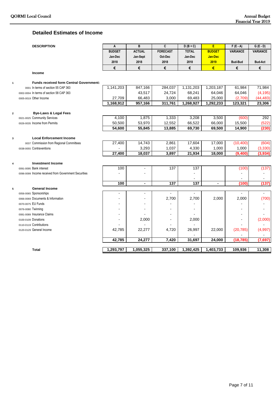#### **Detailed Estimates of Income**

|   | <b>DESCRIPTION</b>                                   | A             | B              | C                | $D(B+C)$     | E               | $F(E - A)$       | $G(E - D)$          |
|---|------------------------------------------------------|---------------|----------------|------------------|--------------|-----------------|------------------|---------------------|
|   |                                                      | <b>BUDGET</b> | <b>ACTUAL</b>  | <b>FORECAST</b>  | <b>TOTAL</b> | <b>BUDGET</b>   | <b>VARIANCE</b>  | <b>VARIANCE</b>     |
|   |                                                      | Jan-Dec       | Jan-Sept       | Oct-Dec          | Jan-Dec      | Jan-Dec         |                  |                     |
|   |                                                      | 2018          | 2018           | 2018             | 2018         | 2019            | <b>Bud-Bud</b>   | <b>Bud-Act</b>      |
|   |                                                      | €             | €              | €                | €            | €               | €                | €                   |
|   | Income                                               |               |                |                  |              |                 |                  |                     |
|   | <b>Funds received form Central Government:</b>       |               |                |                  |              |                 |                  |                     |
|   | 0001 In terms of section 55 CAP 363                  | 1,141,203     | 847,166        | 284,037          | 1,131,203    | 1,203,187       | 61,984           | 71,984              |
|   | 0002-0004 In terms of section 58 CAP 363             |               | 43,517         | 24,724           | 68,241       | 64,046          | 64,046           | (4, 195)            |
|   | 0005-0019 Other Income                               | 27,709        | 66,483         | 3,000            | 69,483       | 25,000          | (2,709)          | (44, 483)           |
|   |                                                      | 1,168,912     | 957,166        | 311,761          | 1,268,927    | 1,292,233       | 123,321          | 23,306              |
| 2 | <b>Bye-Laws &amp; Legal Fees</b>                     |               |                |                  |              |                 |                  |                     |
|   | 0021-0025 Community Services                         | 4,100         | 1,875          | 1,333            | 3,208        | 3,500           | (600)            | 292                 |
|   | 0026-0035 Income from Permits                        | 50,500        | 53,970         | 12,552           | 66,522       | 66,000          | 15,500           | (522)               |
|   |                                                      | 54,600        | 55,845         | 13,885           | 69,730       | 69,500          | 14,900           | (230)               |
|   |                                                      |               |                |                  |              |                 |                  |                     |
| 3 | <b>Local Enforcement Income</b>                      | 27,400        | 14,743         | 2.861            | 17,604       | 17,000          | (10, 400)        | (604)               |
|   | 0037 Commission from Regional Committees             |               | 3,293          | 1,037            | 4,330        |                 |                  |                     |
|   | 0038-0055 Contraventions                             | 27,400        | 18,037         | 3,897            | 21,934       | 1,000<br>18,000 | 1,000<br>(9,400) | (3, 330)<br>(3,934) |
|   |                                                      |               |                |                  |              |                 |                  |                     |
| 4 | <b>Investment Income</b>                             |               |                |                  |              |                 |                  |                     |
|   | 0091-0095 Bank interest                              | 100           | ÷,             | 137              | 137          |                 | (100)            | (137)               |
|   | 0096-0099 Income received from Government Securities |               |                |                  |              |                 |                  |                     |
|   |                                                      |               |                |                  |              |                 |                  |                     |
|   |                                                      | 100           | $\blacksquare$ | $\overline{137}$ | 137          | $\blacksquare$  | (100)            | (137)               |
| 5 | <b>General Income</b>                                |               |                |                  |              |                 |                  |                     |
|   | 0056-0065 Sponsorships                               |               | $\sim$         |                  |              |                 |                  |                     |
|   | 0066-0069 Documents & Information                    |               |                | 2,700            | 2,700        | 2,000           | 2,000            | (700)               |
|   | 0070-0075 EU Funds                                   |               |                |                  |              |                 |                  |                     |
|   | 0076-0080 Twinning                                   |               |                |                  |              |                 |                  |                     |
|   | 0081-0089 Insurance Claims                           |               |                |                  |              |                 | ÷.               |                     |
|   | 0100-0109 Donations                                  |               | 2,000          |                  | 2,000        |                 |                  | (2,000)             |
|   | 0110-0119 Contributions                              |               |                |                  |              |                 |                  |                     |
|   | 0120-0129 General Income                             | 42,785        | 22,277         | 4,720            | 26,997       | 22,000          | (20, 785)        | (4,997)             |
|   |                                                      | 42,785        | 24,277         | 7,420            | 31,697       | 24,000          | (18, 785)        | (7,697)             |
|   | <b>Total</b>                                         | 1,293,797     | 1,055,325      | 337,100          | 1,392,425    | 1,403,733       | 109,936          | 11,308              |
|   |                                                      |               |                |                  |              |                 |                  |                     |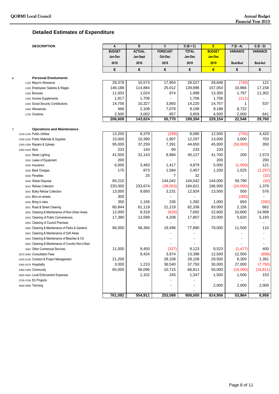#### **Detailed Estimates of Expenditure**

| <b>DESCRIPTION</b> |  |
|--------------------|--|

|   | <b>DESCRIPTION</b>                               | Α             | B             | C               | $D(B+C)$     | E              | $F(E - A)$      | $G(E - D)$      |
|---|--------------------------------------------------|---------------|---------------|-----------------|--------------|----------------|-----------------|-----------------|
|   |                                                  | <b>BUDGET</b> | <b>ACTUAL</b> | <b>FORECAST</b> | <b>TOTAL</b> | <b>BUDGET</b>  | <b>VARIANCE</b> | <b>VARIANCE</b> |
|   |                                                  | Jan-Dec       | Jan-Sept      | Oct-Dec         | Jan-Dec      | <b>Jan-Dec</b> |                 |                 |
|   |                                                  | 2018          | 2018          | 2018            | 2018         | 2019           | <b>Bud-Bud</b>  | <b>Bud-Act</b>  |
|   |                                                  | €             | €             | €               | €            | €              | €               | €               |
| 6 | <b>Personal Emoluments</b>                       |               |               |                 |              |                |                 |                 |
|   | 1100 Mayor's Allowance                           | 29,378        | 10,573        | 17,954          | 28,527       | 28,648         | (730)           | 121             |
|   | 1200 Employees' Salaries & Wages                 | 146,188       | 114,884       | 25,012          | 139,896      | 157,054        | 10,866          | 17,158          |
|   | 1300 Bonuses                                     | 11,503        | 1,024         | 974             | 1,998        | 13,300         | 1,797           | 11,302          |
|   | 1400 Income Supplements                          | 1,817         | 1,706         |                 | 1,706        | 1,706          | (111)           |                 |
|   | 1500 Social Security Contributions               | 14,756        | 10,327        | 3,893           | 14,220       | 14,757         | 1               | 537             |
|   | 1600 Allowances                                  | 466           | 2,108         | 7,079           | 9,188        | 9,188          | 8,722           |                 |
|   | 1700 Overtime                                    | 2,500         | 3,002         | 857             | 3,859        | 4,500          | 2,000           | 641             |
|   |                                                  | 206,608       | 143,624       | 55,770          | 199,394      | 229,154        | 22,546          | 29,760          |
|   |                                                  |               |               |                 |              |                |                 |                 |
|   | <b>Operations and Maintenance</b>                |               |               |                 |              |                |                 |                 |
|   | 2100-2149 Public Utilities                       | 13,200        | 8,379         | (299)           | 8,080        | 12,500         | (700)           | 4,420           |
|   | 2200-2259 Public Materials & Supplies            | 10,000        | 10,390        | 1,907           | 12,297       | 13,000         | 3,000           | 703             |
|   | 2300-2399 Repairs & Upkeep                       | 95,000        | 37,259        | 7,391           | 44,650       | 45,000         | (50,000)        | 350             |
|   | 2400-2449 Rent                                   | 233           | 143           | 90              | 233          | 233            |                 |                 |
|   | 3010 Street Lighting                             | 41,500        | 31,143        | 8,984           | 40,127       | 41,700         | 200             | 1,573           |
|   | 3020 Lease of Equipment                          | 200           |               |                 |              | 200            |                 | 200             |
|   | 3030 Insurance                                   | 6,000         | 3,463         | 1,417           | 4,879        | 5,000          | (1,000)         | 121             |
|   | 3035 Bank Charges                                | 175           | 873           | 1,584           | 2,457        | 1,200          | 1,025           | (1, 257)        |
|   | 3038 Penalties                                   |               | 25            | 7               | 32           |                |                 | (32)            |
|   | 3040 Waste Disposal                              | 84,210        |               | 144,042         | 144,042      | 144,000        | 59,790          | (42)            |
|   | 3041 Refuse Collection                           | 220,000       | 233,674       | (39,053)        | 194,621      | 196,000        | (24,000)        | 1,379           |
|   | 3042 Bulky Refuse Collection                     | 13,000        | 9,693         | 3,231           | 12,924       | 13,500         | 500             | 576             |
|   | 3043 Bins on wheels                              | 300           |               |                 |              |                | (300)           |                 |
|   | 3045 Bring in sites                              | 350           | 1,156         | 236             | 1,392        | 1,000          | 650             | (392)           |
|   | 3051 Road & Street Cleaning                      | 80,844        | 61,119        | 21,219          | 82,338       | 83,000         | 2,156           | 662             |
|   | 3052 Cleaning & Maintenance of Non-Urban Areas   | 12,000        | 8,318         | (626)           | 7,692        | 22,600         | 10,600          | 14,908          |
|   | 3053 Cleaning of Public Conveniences             | 17,380        | 13,599        | 4,208           | 17,807       | 23,000         | 5,620           | 5,193           |
|   | 3055 Cleaning of Council Premises                |               |               |                 |              |                |                 |                 |
|   | 3060 Cleaning & Maintenance of Parks & Gardens   | 66,500        | 58,394        | 19,496          | 77,890       | 78,000         | 11,500          | 110             |
|   | 3061 Cleaning & Maintenance of Soft Areas        |               |               |                 |              |                |                 |                 |
|   | 3062 Cleaning & Maintenance of Beaches & CA      |               |               |                 |              |                |                 |                 |
|   | 3063 Cleaning & Maintenance of Country Non-Urban |               |               |                 |              |                |                 |                 |
|   | 3064 Other Contractual Services                  | 11,000        | 9,450         | (327)           | 9,123        | 9,523          | (1, 477)        | 400             |
|   | 3070-3090 Consultation Fees                      |               | 9,424         | 3,974           | 13,398       | 12,500         | 12,500          | (898)           |
|   | 3100-3139 Contract & Project Management          | 21,200        |               | 28,109          | 28,109       | 29,500         | 8,300           | 1,391           |
|   | 3300-3379 Hospitality                            | 3,000         | 1,210         | 36,540          | 37,750       | 30,000         | 27,000          | (7, 750)        |
|   | 3380-3389 Community                              | 65,000        | 56,096        | 10,715          | 66,811       | 50,000         | (15,000)        | (16, 811)       |
|   | 3600-3694 Local Enforcement Expenses             |               | 1,102         | 245             | 1,347        | 1,500          | 1,500           | 153             |
|   | 3700-3799 EU Projects                            |               |               |                 |              |                |                 |                 |
|   | 3800-3899 Twinning                               |               |               |                 |              | 2,000          | 2,000           | 2,000           |
|   |                                                  |               |               | 253,089         |              |                |                 |                 |
|   |                                                  | 761,092       | 554,911       |                 | 808,000      | 814,956        | 53,864          | 6,956           |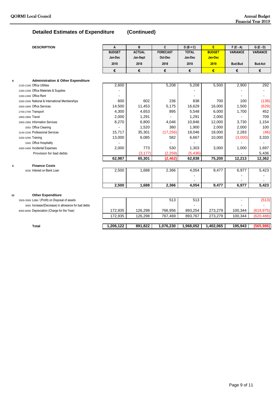#### **Detailed Estimates of Expenditure (Continued)**

|    | <b>DESCRIPTION</b>                                  | A             | B             | C               | $D(B+C)$     | E              | $F(E - A)$      | $G(E - D)$      |
|----|-----------------------------------------------------|---------------|---------------|-----------------|--------------|----------------|-----------------|-----------------|
|    |                                                     | <b>BUDGET</b> | <b>ACTUAL</b> | <b>FORECAST</b> | <b>TOTAL</b> | <b>BUDGET</b>  | <b>VARIANCE</b> | <b>VARIANCE</b> |
|    |                                                     | Jan-Dec       | Jan-Sept      | Oct-Dec         | Jan-Dec      | <b>Jan-Dec</b> |                 |                 |
|    |                                                     | 2018          | 2018          | 2018            | 2018         | 2019           | <b>Bud-Bud</b>  | <b>Bud-Act</b>  |
|    |                                                     | €             | €             | €               | €            | €              | €               | €               |
| 8  | <b>Administration &amp; Other Expenditure</b>       |               |               |                 |              |                |                 |                 |
|    | 2150-2199 Office Utilities                          | 2,600         |               | 5,208           | 5,208        | 5,500          | 2,900           | 292             |
|    | 2260-2299 Office Materials & Supplies               |               |               |                 |              |                |                 |                 |
|    | 2450-2499 Office Rent                               |               |               |                 |              |                |                 |                 |
|    | 2500-2599 National & International Memberships      | 600           | 602           | 236             | 838          | 700            | 100             | (138)           |
|    | 2600-2699 Office Services                           | 14,500        | 11,453        | 5,175           | 16,629       | 16,000         | 1,500           | (629)           |
|    | 2700-2799 Transport                                 | 4,300         | 4,653         | 895             | 5,548        | 6,000          | 1,700           | 452             |
|    | 2800-2899 Travel                                    | 2,000         | 1,291         |                 | 1,291        | 2,000          |                 | 709             |
|    | 2900-2999 Information Services                      | 8,270         | 6,800         | 4,046           | 10,846       | 12,000         | 3.730           | 1,154           |
|    | 3050 Office Cleaning                                |               | 1,520         | 380             | 1,900        | 2,000          | 2,000           | 100             |
|    | 3140-3199 Professional Services                     | 15,717        | 35,301        | (17, 256)       | 18,046       | 18,000         | 2,283           | (46)            |
|    | 3200-3299 Training                                  | 13,000        | 6,085         | 582             | 6,667        | 10,000         | (3,000)         | 3,333           |
|    | 3345 Office Hospitality                             |               |               |                 |              |                |                 |                 |
|    | 3400-3499 Incidental Expenses                       | 2,000         | 773           | 530             | 1,303        | 3,000          | 1,000           | 1,697           |
|    | Provision for bad debts                             |               | (3, 177)      | (2, 259)        | (5, 436)     |                |                 | 5,436           |
|    |                                                     | 62,987        | 65,301        | (2, 462)        | 62,838       | 75,200         | 12,213          | 12,362          |
| 9  | <b>Finance Costs</b>                                |               |               |                 |              |                |                 |                 |
|    | 3036 Interest on Bank Loan                          | 2,500         | 1,688         | 2,366           | 4,054        | 9,477          | 6,977           | 5,423           |
|    |                                                     |               |               |                 |              |                |                 |                 |
|    |                                                     |               |               |                 |              |                |                 |                 |
|    |                                                     | 2,500         | 1,688         | 2,366           | 4,054        | 9,477          | 6,977           | 5,423           |
| 10 | <b>Other Expenditure</b>                            |               |               |                 |              |                |                 |                 |
|    | 3500-3599 Loss / (Profit) on Disposal of assets     |               |               | 513             | 513          |                |                 | (513)           |
|    | 3695 Increase/(Decrease) in allowance for bad debts |               |               |                 |              |                |                 |                 |
|    | 8000-8099 Depreciation (Charge for the Year)        | 172,935       | 126,298       | 766,956         | 893,254      | 273,279        | 100,344         | (619, 975)      |
|    |                                                     | 172,935       | 126,298       | 767,469         | 893,767      | 273,279        | 100,344         | (620, 488)      |

**Total 1,206,122 891,822 1,076,230 1,968,052 1,402,065 195,943 (565,986)**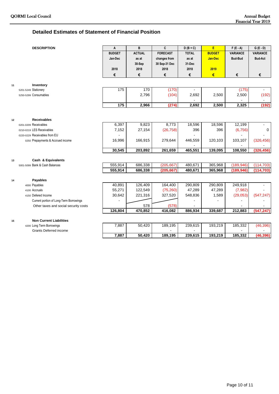#### **Detailed Estimates of Statement of Financial Position**

|    | <b>DESCRIPTION</b>                                   | A             | B             | C               | $D(B+C)$     | E             | $F(E - A)$      | $G(E - D)$      |
|----|------------------------------------------------------|---------------|---------------|-----------------|--------------|---------------|-----------------|-----------------|
|    |                                                      | <b>BUDGET</b> | <b>ACTUAL</b> | <b>FORECAST</b> | <b>TOTAL</b> | <b>BUDGET</b> | <b>VARIANCE</b> | <b>VARIANCE</b> |
|    |                                                      | Jan-Dec       | as at         | changes from    | as at        | Jan-Dec       | <b>Bud-Bud</b>  | <b>Bud-Act</b>  |
|    |                                                      |               | 30-Sep        | 30 Sep-31 Dec   | 31-Dec       |               |                 |                 |
|    |                                                      | 2018          | 2018          | 2018            | 2018         | 2019          |                 |                 |
|    |                                                      | €             | €             | €               | €            | €             | €               | €               |
|    | Inventory                                            |               |               |                 |              |               |                 |                 |
| 11 | 5201-5249 Stationery                                 | 175           | 170           | (170)           |              |               | (175)           |                 |
|    | 5250-5299 Consumables                                |               | 2,796         | (104)           | 2,692        | 2,500         | 2,500           | (192)           |
|    |                                                      |               |               |                 |              |               |                 |                 |
|    |                                                      | 175           | 2,966         | (274)           | 2,692        | 2,500         | 2,325           | (192)           |
|    |                                                      |               |               |                 |              |               |                 |                 |
| 12 | <b>Receivables</b>                                   |               |               |                 |              |               |                 |                 |
|    | 0201-0209 Receivables                                | 6,397         | 9,823         | 8,773           | 18,596       | 18,596        | 12,199          |                 |
|    | 0210-0219 LES Receivables                            | 7,152         | 27,154        | (26, 758)       | 396          | 396           | (6, 756)        | $\mathbf 0$     |
|    | 0220-0229 Receivables from EU                        |               |               |                 |              |               |                 |                 |
|    | 0250 Prepayments & Accrued income                    | 16,996        | 166,915       | 279,644         | 446,559      | 120,103       | 103,107         | (326, 456)      |
|    |                                                      |               |               |                 |              |               |                 |                 |
|    |                                                      | 30,545        | 203,892       | 261,659         | 465,551      | 139,095       | 108,550         | (326, 456)      |
|    |                                                      |               |               |                 |              |               |                 |                 |
| 13 | Cash & Equivalents<br>5001-5099 Bank & Cash Balances | 555,914       | 686,338       | (205, 667)      | 480,671      | 365,968       | (189, 946)      | (114, 703)      |
|    |                                                      | 555,914       | 686,338       | (205,667        | 480,671      | 365,968       | (189.946)       | (114, 703)      |
|    |                                                      |               |               |                 |              |               |                 |                 |
| 14 | Payables                                             |               |               |                 |              |               |                 |                 |
|    | 4000 Payables                                        | 40,891        | 126,409       | 164,400         | 290,809      | 290,809       | 249,918         |                 |
|    | 4100 Accruals                                        | 55,271        | 122,549       | (75, 260)       | 47,289       | 47,289        | (7,982)         |                 |
|    | 4150 Defered Income                                  | 30,642        | 221,316       | 327,520         | 548,836      | 1,589         | (29,053)        | (547, 247)      |
|    | Current portion of Long-Term Borrowings              |               |               |                 |              |               | ٠               |                 |
|    | Other taxes and social security costs                |               | 578           | (578)           |              |               |                 |                 |
|    |                                                      | 126,804       | 470,852       | 416,082         | 886,934      | 339,687       | 212,883         | (547, 247)      |
| 15 | <b>Non Current Liabilities</b>                       |               |               |                 |              |               |                 |                 |
|    | 4200 Long Term Borrowings                            | 7,887         | 50,420        | 189,195         | 239,615      | 193,219       | 185,332         | (46, 396)       |
|    | <b>Grants Deferred income</b>                        |               |               |                 |              |               |                 |                 |
|    |                                                      | 7,887         | 50,420        | 189,195         | 239,615      | 193,219       | 185,332         | (46, 396)       |